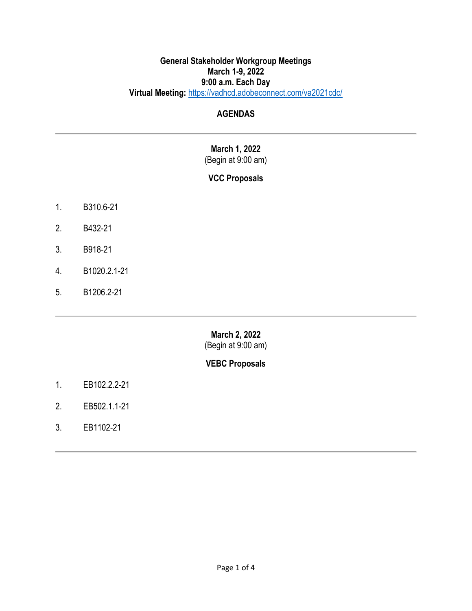#### **General Stakeholder Workgroup Meetings March 1-9, 2022 9:00 a.m. Each Day Virtual Meeting:** <https://vadhcd.adobeconnect.com/va2021cdc/>

#### **AGENDAS**

## **March 1, 2022**  (Begin at 9:00 am)

# **VCC Proposals**

- 1. B310.6-21
- 2. B432-21
- 3. B918-21
- 4. B1020.2.1-21
- 5. B1206.2-21

**March 2, 2022** (Begin at 9:00 am)

#### **VEBC Proposals**

- 1. EB102.2.2-21
- 2. EB502.1.1-21
- 3. EB1102-21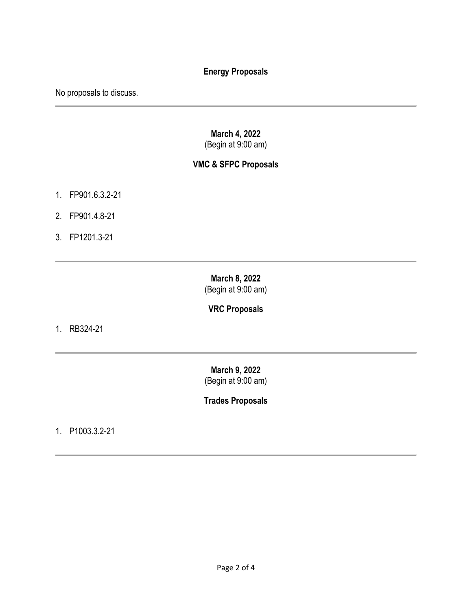## **Energy Proposals**

No proposals to discuss.

#### **March 4, 2022**  (Begin at 9:00 am)

## **VMC & SFPC Proposals**

- 1. FP901.6.3.2-21
- 2. FP901.4.8-21
- 3. FP1201.3-21

**March 8, 2022**  (Begin at 9:00 am)

**VRC Proposals**

1. RB324-21

**March 9, 2022**  (Begin at 9:00 am)

**Trades Proposals**

1. P1003.3.2-21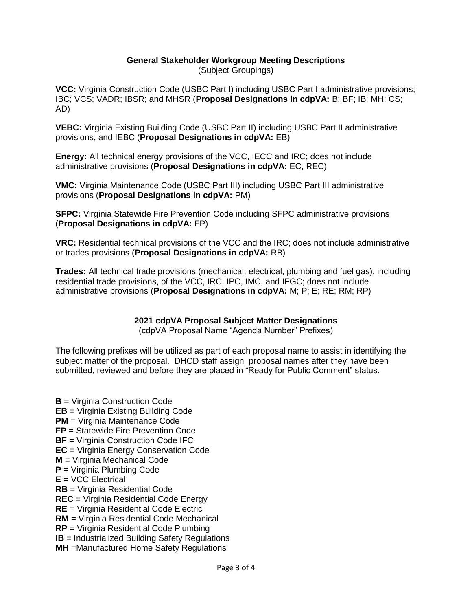#### **General Stakeholder Workgroup Meeting Descriptions**  (Subject Groupings)

**VCC:** Virginia Construction Code (USBC Part I) including USBC Part I administrative provisions; IBC; VCS; VADR; IBSR; and MHSR (**Proposal Designations in cdpVA:** B; BF; IB; MH; CS; AD)

**VEBC:** Virginia Existing Building Code (USBC Part II) including USBC Part II administrative provisions; and IEBC (**Proposal Designations in cdpVA:** EB)

**Energy:** All technical energy provisions of the VCC, IECC and IRC; does not include administrative provisions (**Proposal Designations in cdpVA:** EC; REC)

**VMC:** Virginia Maintenance Code (USBC Part III) including USBC Part III administrative provisions (**Proposal Designations in cdpVA:** PM)

**SFPC:** Virginia Statewide Fire Prevention Code including SFPC administrative provisions (**Proposal Designations in cdpVA:** FP)

**VRC:** Residential technical provisions of the VCC and the IRC; does not include administrative or trades provisions (**Proposal Designations in cdpVA:** RB)

**Trades:** All technical trade provisions (mechanical, electrical, plumbing and fuel gas), including residential trade provisions, of the VCC, IRC, IPC, IMC, and IFGC; does not include administrative provisions (**Proposal Designations in cdpVA:** M; P; E; RE; RM; RP)

#### **2021 cdpVA Proposal Subject Matter Designations**

(cdpVA Proposal Name "Agenda Number" Prefixes)

The following prefixes will be utilized as part of each proposal name to assist in identifying the subject matter of the proposal. DHCD staff assign proposal names after they have been submitted, reviewed and before they are placed in "Ready for Public Comment" status.

**B** = Virginia Construction Code **EB** = Virginia Existing Building Code **PM** = Virginia Maintenance Code **FP** = Statewide Fire Prevention Code **BF** = Virginia Construction Code IFC **EC** = Virginia Energy Conservation Code **M** = Virginia Mechanical Code **P** = Virginia Plumbing Code **E** = VCC Electrical **RB** = Virginia Residential Code **REC** = Virginia Residential Code Energy **RE** = Virginia Residential Code Electric **RM** = Virginia Residential Code Mechanical **RP** = Virginia Residential Code Plumbing **IB** = Industrialized Building Safety Regulations **MH** =Manufactured Home Safety Regulations